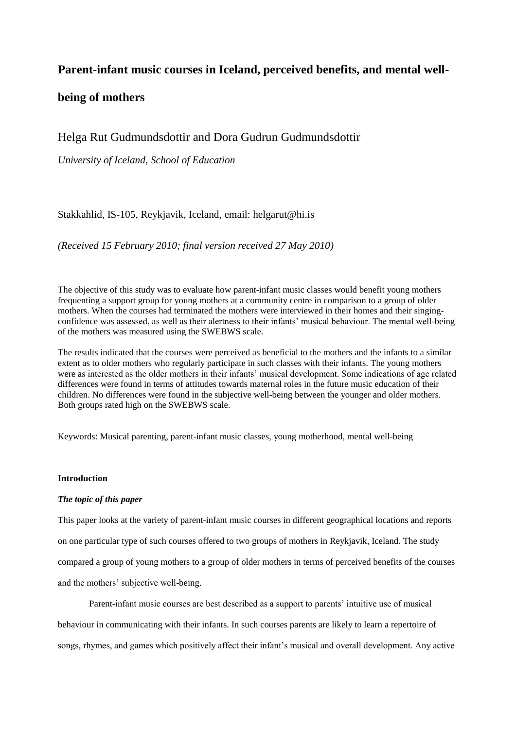# **Parent-infant music courses in Iceland, perceived benefits, and mental well-**

# **being of mothers**

# Helga Rut Gudmundsdottir and Dora Gudrun Gudmundsdottir

*University of Iceland, School of Education*

## Stakkahlid, IS-105, Reykjavik, Iceland, email: helgarut@hi.is

*(Received 15 February 2010; final version received 27 May 2010)*

The objective of this study was to evaluate how parent-infant music classes would benefit young mothers frequenting a support group for young mothers at a community centre in comparison to a group of older mothers. When the courses had terminated the mothers were interviewed in their homes and their singingconfidence was assessed, as well as their alertness to their infants" musical behaviour. The mental well-being of the mothers was measured using the SWEBWS scale.

The results indicated that the courses were perceived as beneficial to the mothers and the infants to a similar extent as to older mothers who regularly participate in such classes with their infants. The young mothers were as interested as the older mothers in their infants' musical development. Some indications of age related differences were found in terms of attitudes towards maternal roles in the future music education of their children. No differences were found in the subjective well-being between the younger and older mothers. Both groups rated high on the SWEBWS scale.

Keywords: Musical parenting, parent-infant music classes, young motherhood, mental well-being

### **Introduction**

## *The topic of this paper*

This paper looks at the variety of parent-infant music courses in different geographical locations and reports on one particular type of such courses offered to two groups of mothers in Reykjavik, Iceland. The study compared a group of young mothers to a group of older mothers in terms of perceived benefits of the courses and the mothers' subjective well-being.

Parent-infant music courses are best described as a support to parents" intuitive use of musical behaviour in communicating with their infants. In such courses parents are likely to learn a repertoire of songs, rhymes, and games which positively affect their infant"s musical and overall development. Any active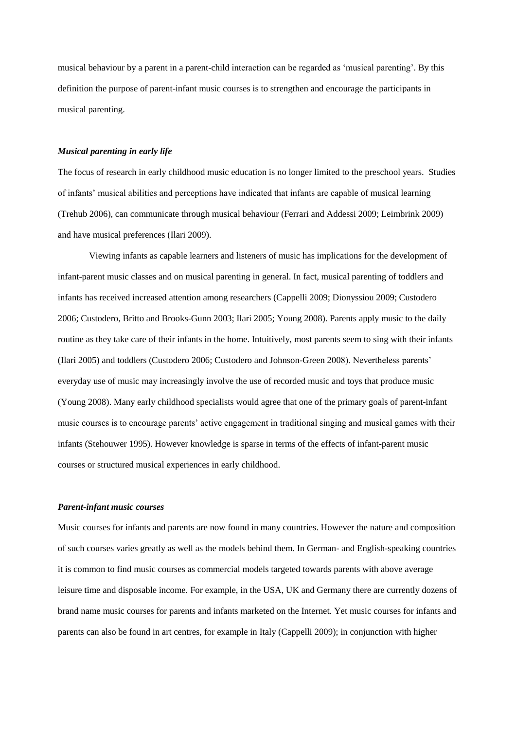musical behaviour by a parent in a parent-child interaction can be regarded as "musical parenting". By this definition the purpose of parent-infant music courses is to strengthen and encourage the participants in musical parenting.

#### *Musical parenting in early life*

The focus of research in early childhood music education is no longer limited to the preschool years. Studies of infants" musical abilities and perceptions have indicated that infants are capable of musical learning (Trehub 2006), can communicate through musical behaviour (Ferrari and Addessi 2009; Leimbrink 2009) and have musical preferences (Ilari 2009).

Viewing infants as capable learners and listeners of music has implications for the development of infant-parent music classes and on musical parenting in general. In fact, musical parenting of toddlers and infants has received increased attention among researchers (Cappelli 2009; Dionyssiou 2009; Custodero 2006; Custodero, Britto and Brooks-Gunn 2003; Ilari 2005; Young 2008). Parents apply music to the daily routine as they take care of their infants in the home. Intuitively, most parents seem to sing with their infants (Ilari 2005) and toddlers (Custodero 2006; Custodero and Johnson-Green 2008). Nevertheless parents" everyday use of music may increasingly involve the use of recorded music and toys that produce music (Young 2008). Many early childhood specialists would agree that one of the primary goals of parent-infant music courses is to encourage parents" active engagement in traditional singing and musical games with their infants (Stehouwer 1995). However knowledge is sparse in terms of the effects of infant-parent music courses or structured musical experiences in early childhood.

### *Parent-infant music courses*

Music courses for infants and parents are now found in many countries. However the nature and composition of such courses varies greatly as well as the models behind them. In German- and English-speaking countries it is common to find music courses as commercial models targeted towards parents with above average leisure time and disposable income. For example, in the USA, UK and Germany there are currently dozens of brand name music courses for parents and infants marketed on the Internet. Yet music courses for infants and parents can also be found in art centres, for example in Italy (Cappelli 2009); in conjunction with higher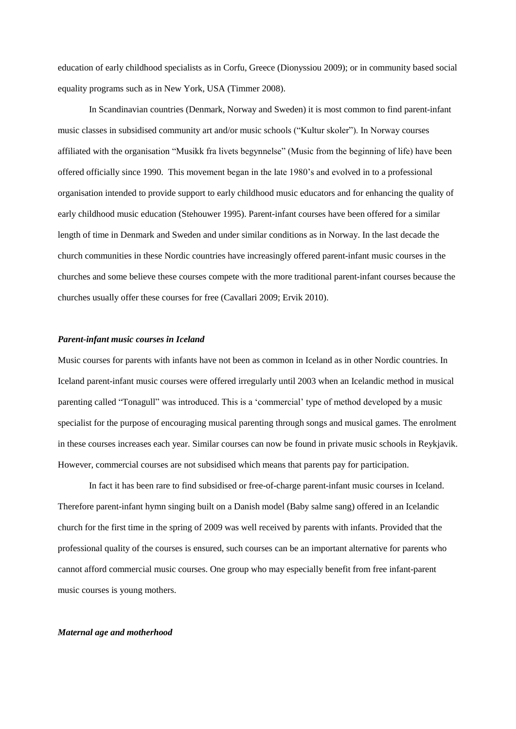education of early childhood specialists as in Corfu, Greece (Dionyssiou 2009); or in community based social equality programs such as in New York, USA (Timmer 2008).

In Scandinavian countries (Denmark, Norway and Sweden) it is most common to find parent-infant music classes in subsidised community art and/or music schools ("Kultur skoler"). In Norway courses affiliated with the organisation "Musikk fra livets begynnelse" (Music from the beginning of life) have been offered officially since 1990. This movement began in the late 1980"s and evolved in to a professional organisation intended to provide support to early childhood music educators and for enhancing the quality of early childhood music education (Stehouwer 1995). Parent-infant courses have been offered for a similar length of time in Denmark and Sweden and under similar conditions as in Norway. In the last decade the church communities in these Nordic countries have increasingly offered parent-infant music courses in the churches and some believe these courses compete with the more traditional parent-infant courses because the churches usually offer these courses for free (Cavallari 2009; Ervik 2010).

#### *Parent-infant music courses in Iceland*

Music courses for parents with infants have not been as common in Iceland as in other Nordic countries. In Iceland parent-infant music courses were offered irregularly until 2003 when an Icelandic method in musical parenting called "Tonagull" was introduced. This is a "commercial" type of method developed by a music specialist for the purpose of encouraging musical parenting through songs and musical games. The enrolment in these courses increases each year. Similar courses can now be found in private music schools in Reykjavik. However, commercial courses are not subsidised which means that parents pay for participation.

In fact it has been rare to find subsidised or free-of-charge parent-infant music courses in Iceland. Therefore parent-infant hymn singing built on a Danish model (Baby salme sang) offered in an Icelandic church for the first time in the spring of 2009 was well received by parents with infants. Provided that the professional quality of the courses is ensured, such courses can be an important alternative for parents who cannot afford commercial music courses. One group who may especially benefit from free infant-parent music courses is young mothers.

#### *Maternal age and motherhood*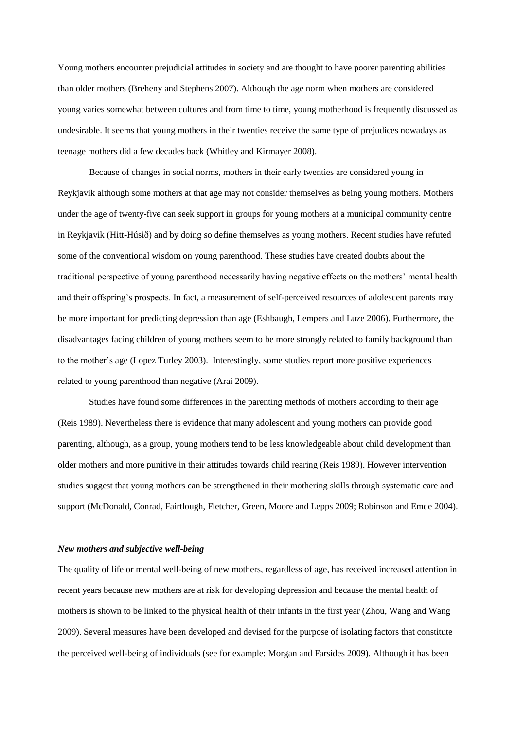Young mothers encounter prejudicial attitudes in society and are thought to have poorer parenting abilities than older mothers (Breheny and Stephens 2007). Although the age norm when mothers are considered young varies somewhat between cultures and from time to time, young motherhood is frequently discussed as undesirable. It seems that young mothers in their twenties receive the same type of prejudices nowadays as teenage mothers did a few decades back (Whitley and Kirmayer 2008).

Because of changes in social norms, mothers in their early twenties are considered young in Reykjavik although some mothers at that age may not consider themselves as being young mothers. Mothers under the age of twenty-five can seek support in groups for young mothers at a municipal community centre in Reykjavik (Hitt-Húsið) and by doing so define themselves as young mothers. Recent studies have refuted some of the conventional wisdom on young parenthood. These studies have created doubts about the traditional perspective of young parenthood necessarily having negative effects on the mothers" mental health and their offspring's prospects. In fact, a measurement of self-perceived resources of adolescent parents may be more important for predicting depression than age (Eshbaugh, Lempers and Luze 2006). Furthermore, the disadvantages facing children of young mothers seem to be more strongly related to family background than to the mother's age (Lopez Turley 2003). Interestingly, some studies report more positive experiences related to young parenthood than negative (Arai 2009).

Studies have found some differences in the parenting methods of mothers according to their age (Reis 1989). Nevertheless there is evidence that many adolescent and young mothers can provide good parenting, although, as a group, young mothers tend to be less knowledgeable about child development than older mothers and more punitive in their attitudes towards child rearing (Reis 1989). However intervention studies suggest that young mothers can be strengthened in their mothering skills through systematic care and support (McDonald, Conrad, Fairtlough, Fletcher, Green, Moore and Lepps 2009; Robinson and Emde 2004).

#### *New mothers and subjective well-being*

The quality of life or mental well-being of new mothers, regardless of age, has received increased attention in recent years because new mothers are at risk for developing depression and because the mental health of mothers is shown to be linked to the physical health of their infants in the first year (Zhou, Wang and Wang 2009). Several measures have been developed and devised for the purpose of isolating factors that constitute the perceived well-being of individuals (see for example: Morgan and Farsides 2009). Although it has been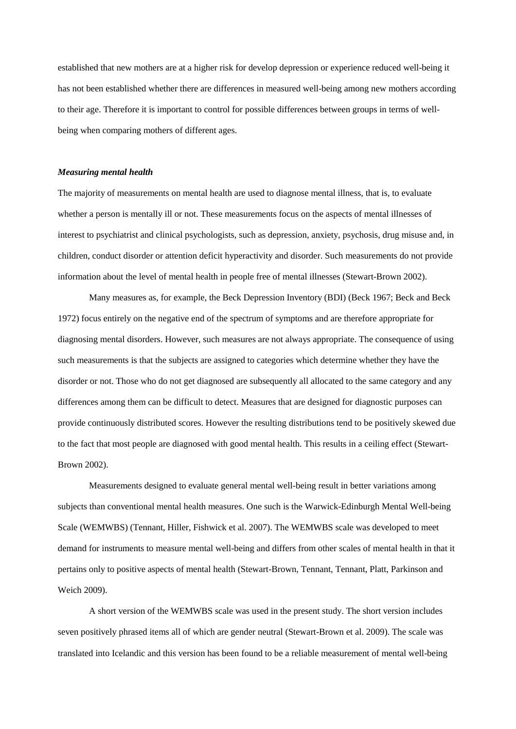established that new mothers are at a higher risk for develop depression or experience reduced well-being it has not been established whether there are differences in measured well-being among new mothers according to their age. Therefore it is important to control for possible differences between groups in terms of wellbeing when comparing mothers of different ages.

#### *Measuring mental health*

The majority of measurements on mental health are used to diagnose mental illness, that is, to evaluate whether a person is mentally ill or not. These measurements focus on the aspects of mental illnesses of interest to psychiatrist and clinical psychologists, such as depression, anxiety, psychosis, drug misuse and, in children, conduct disorder or attention deficit hyperactivity and disorder. Such measurements do not provide information about the level of mental health in people free of mental illnesses (Stewart-Brown 2002).

Many measures as, for example, the Beck Depression Inventory (BDI) (Beck 1967; Beck and Beck 1972) focus entirely on the negative end of the spectrum of symptoms and are therefore appropriate for diagnosing mental disorders. However, such measures are not always appropriate. The consequence of using such measurements is that the subjects are assigned to categories which determine whether they have the disorder or not. Those who do not get diagnosed are subsequently all allocated to the same category and any differences among them can be difficult to detect. Measures that are designed for diagnostic purposes can provide continuously distributed scores. However the resulting distributions tend to be positively skewed due to the fact that most people are diagnosed with good mental health. This results in a ceiling effect (Stewart-Brown 2002).

Measurements designed to evaluate general mental well-being result in better variations among subjects than conventional mental health measures. One such is the Warwick-Edinburgh Mental Well-being Scale (WEMWBS) (Tennant, Hiller, Fishwick et al. 2007). The WEMWBS scale was developed to meet demand for instruments to measure mental well-being and differs from other scales of mental health in that it pertains only to positive aspects of mental health (Stewart-Brown, Tennant, Tennant, Platt, Parkinson and Weich 2009).

A short version of the WEMWBS scale was used in the present study. The short version includes seven positively phrased items all of which are gender neutral (Stewart-Brown et al. 2009). The scale was translated into Icelandic and this version has been found to be a reliable measurement of mental well-being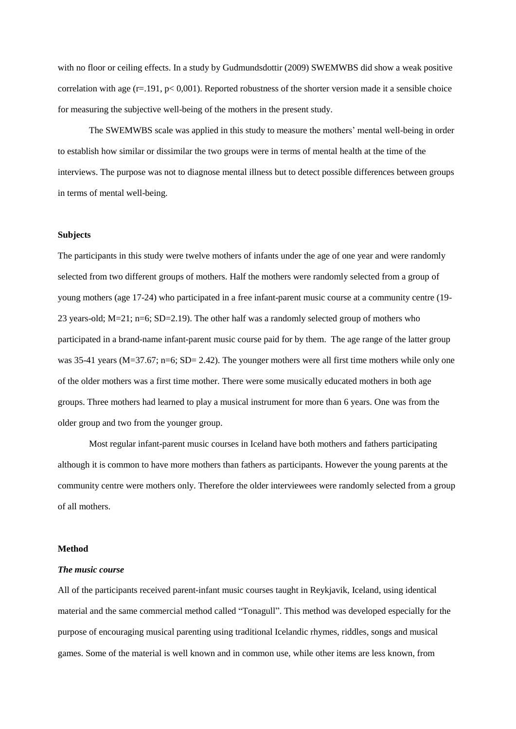with no floor or ceiling effects. In a study by Gudmundsdottir (2009) SWEMWBS did show a weak positive correlation with age ( $r=191$ ,  $p< 0,001$ ). Reported robustness of the shorter version made it a sensible choice for measuring the subjective well-being of the mothers in the present study.

The SWEMWBS scale was applied in this study to measure the mothers" mental well-being in order to establish how similar or dissimilar the two groups were in terms of mental health at the time of the interviews. The purpose was not to diagnose mental illness but to detect possible differences between groups in terms of mental well-being.

#### **Subjects**

The participants in this study were twelve mothers of infants under the age of one year and were randomly selected from two different groups of mothers. Half the mothers were randomly selected from a group of young mothers (age 17-24) who participated in a free infant-parent music course at a community centre (19- 23 years-old;  $M=21$ ;  $n=6$ ;  $SD=2.19$ ). The other half was a randomly selected group of mothers who participated in a brand-name infant-parent music course paid for by them. The age range of the latter group was 35-41 years ( $M=37.67$ ; n=6; SD= 2.42). The younger mothers were all first time mothers while only one of the older mothers was a first time mother. There were some musically educated mothers in both age groups. Three mothers had learned to play a musical instrument for more than 6 years. One was from the older group and two from the younger group.

Most regular infant-parent music courses in Iceland have both mothers and fathers participating although it is common to have more mothers than fathers as participants. However the young parents at the community centre were mothers only. Therefore the older interviewees were randomly selected from a group of all mothers.

#### **Method**

#### *The music course*

All of the participants received parent-infant music courses taught in Reykjavik, Iceland, using identical material and the same commercial method called "Tonagull". This method was developed especially for the purpose of encouraging musical parenting using traditional Icelandic rhymes, riddles, songs and musical games. Some of the material is well known and in common use, while other items are less known, from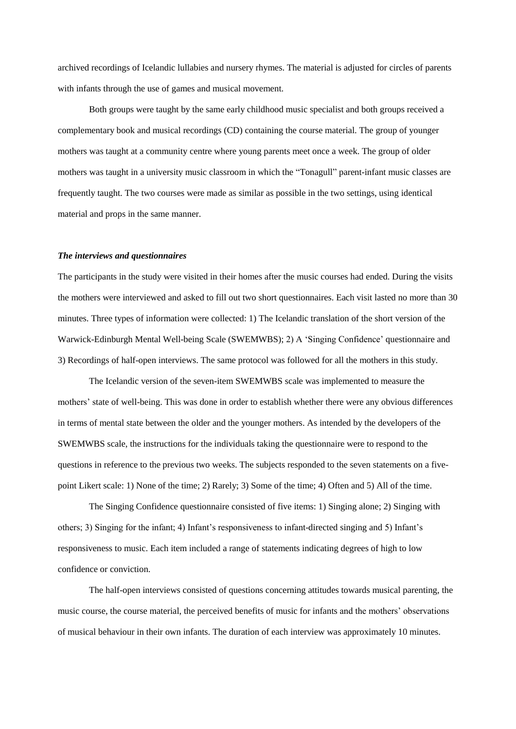archived recordings of Icelandic lullabies and nursery rhymes. The material is adjusted for circles of parents with infants through the use of games and musical movement.

Both groups were taught by the same early childhood music specialist and both groups received a complementary book and musical recordings (CD) containing the course material. The group of younger mothers was taught at a community centre where young parents meet once a week. The group of older mothers was taught in a university music classroom in which the "Tonagull" parent-infant music classes are frequently taught. The two courses were made as similar as possible in the two settings, using identical material and props in the same manner.

#### *The interviews and questionnaires*

The participants in the study were visited in their homes after the music courses had ended. During the visits the mothers were interviewed and asked to fill out two short questionnaires. Each visit lasted no more than 30 minutes. Three types of information were collected: 1) The Icelandic translation of the short version of the Warwick-Edinburgh Mental Well-being Scale (SWEMWBS); 2) A "Singing Confidence" questionnaire and 3) Recordings of half-open interviews. The same protocol was followed for all the mothers in this study.

The Icelandic version of the seven-item SWEMWBS scale was implemented to measure the mothers' state of well-being. This was done in order to establish whether there were any obvious differences in terms of mental state between the older and the younger mothers. As intended by the developers of the SWEMWBS scale, the instructions for the individuals taking the questionnaire were to respond to the questions in reference to the previous two weeks. The subjects responded to the seven statements on a fivepoint Likert scale: 1) None of the time; 2) Rarely; 3) Some of the time; 4) Often and 5) All of the time.

The Singing Confidence questionnaire consisted of five items: 1) Singing alone; 2) Singing with others; 3) Singing for the infant; 4) Infant"s responsiveness to infant-directed singing and 5) Infant"s responsiveness to music. Each item included a range of statements indicating degrees of high to low confidence or conviction.

The half-open interviews consisted of questions concerning attitudes towards musical parenting, the music course, the course material, the perceived benefits of music for infants and the mothers" observations of musical behaviour in their own infants. The duration of each interview was approximately 10 minutes.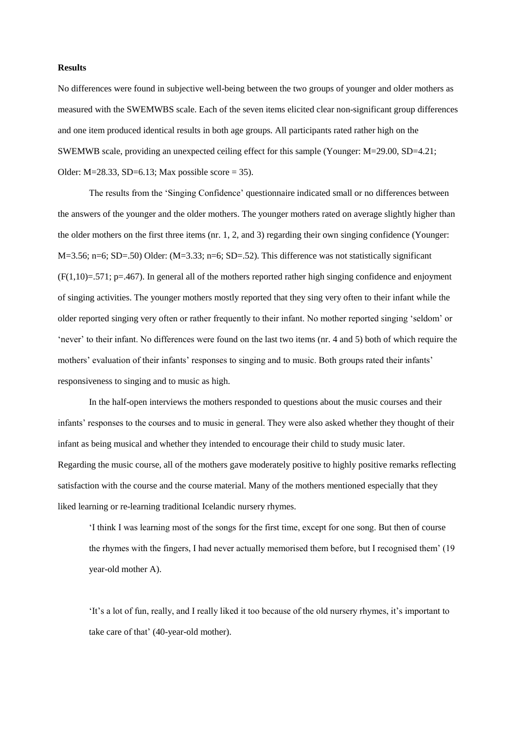### **Results**

No differences were found in subjective well-being between the two groups of younger and older mothers as measured with the SWEMWBS scale. Each of the seven items elicited clear non-significant group differences and one item produced identical results in both age groups. All participants rated rather high on the SWEMWB scale, providing an unexpected ceiling effect for this sample (Younger: M=29.00, SD=4.21; Older: M=28.33, SD=6.13; Max possible score = 35).

The results from the "Singing Confidence" questionnaire indicated small or no differences between the answers of the younger and the older mothers. The younger mothers rated on average slightly higher than the older mothers on the first three items (nr. 1, 2, and 3) regarding their own singing confidence (Younger:  $M=3.56$ ; n=6; SD=.50) Older: (M=3.33; n=6; SD=.52). This difference was not statistically significant  $(F(1,10)=.571$ ; p=.467). In general all of the mothers reported rather high singing confidence and enjoyment of singing activities. The younger mothers mostly reported that they sing very often to their infant while the older reported singing very often or rather frequently to their infant. No mother reported singing "seldom" or "never" to their infant. No differences were found on the last two items (nr. 4 and 5) both of which require the mothers' evaluation of their infants' responses to singing and to music. Both groups rated their infants' responsiveness to singing and to music as high.

In the half-open interviews the mothers responded to questions about the music courses and their infants" responses to the courses and to music in general. They were also asked whether they thought of their infant as being musical and whether they intended to encourage their child to study music later. Regarding the music course, all of the mothers gave moderately positive to highly positive remarks reflecting satisfaction with the course and the course material. Many of the mothers mentioned especially that they liked learning or re-learning traditional Icelandic nursery rhymes.

"I think I was learning most of the songs for the first time, except for one song. But then of course the rhymes with the fingers, I had never actually memorised them before, but I recognised them" (19 year-old mother A).

"It"s a lot of fun, really, and I really liked it too because of the old nursery rhymes, it"s important to take care of that' (40-year-old mother).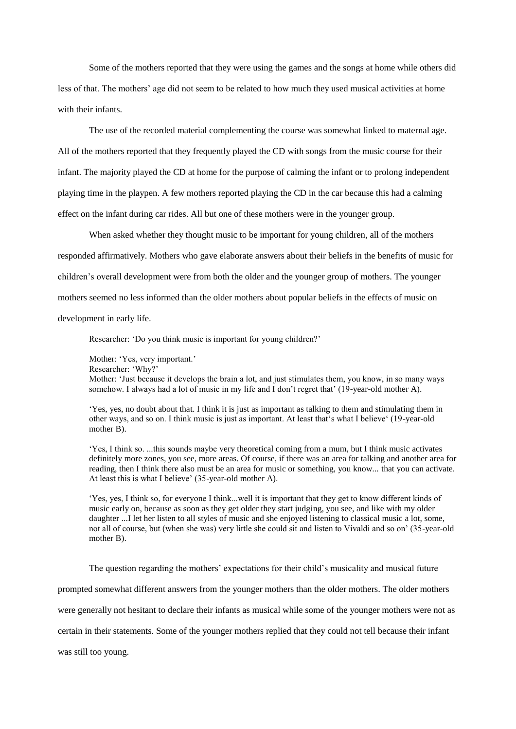Some of the mothers reported that they were using the games and the songs at home while others did less of that. The mothers' age did not seem to be related to how much they used musical activities at home with their infants.

The use of the recorded material complementing the course was somewhat linked to maternal age. All of the mothers reported that they frequently played the CD with songs from the music course for their infant. The majority played the CD at home for the purpose of calming the infant or to prolong independent playing time in the playpen. A few mothers reported playing the CD in the car because this had a calming effect on the infant during car rides. All but one of these mothers were in the younger group.

When asked whether they thought music to be important for young children, all of the mothers responded affirmatively. Mothers who gave elaborate answers about their beliefs in the benefits of music for children"s overall development were from both the older and the younger group of mothers. The younger mothers seemed no less informed than the older mothers about popular beliefs in the effects of music on development in early life.

Researcher: 'Do you think music is important for young children?'

Mother: 'Yes, very important.' Researcher: 'Why?' Mother: "Just because it develops the brain a lot, and just stimulates them, you know, in so many ways somehow. I always had a lot of music in my life and I don't regret that' (19-year-old mother A).

"Yes, yes, no doubt about that. I think it is just as important as talking to them and stimulating them in other ways, and so on. I think music is just as important. At least that"s what I believe" (19-year-old mother B).

"Yes, I think so. ...this sounds maybe very theoretical coming from a mum, but I think music activates definitely more zones, you see, more areas. Of course, if there was an area for talking and another area for reading, then I think there also must be an area for music or something, you know... that you can activate. At least this is what I believe' (35-year-old mother A).

"Yes, yes, I think so, for everyone I think...well it is important that they get to know different kinds of music early on, because as soon as they get older they start judging, you see, and like with my older daughter ...I let her listen to all styles of music and she enjoyed listening to classical music a lot, some, not all of course, but (when she was) very little she could sit and listen to Vivaldi and so on" (35-year-old mother B).

The question regarding the mothers" expectations for their child"s musicality and musical future

prompted somewhat different answers from the younger mothers than the older mothers. The older mothers

were generally not hesitant to declare their infants as musical while some of the younger mothers were not as

certain in their statements. Some of the younger mothers replied that they could not tell because their infant

was still too young.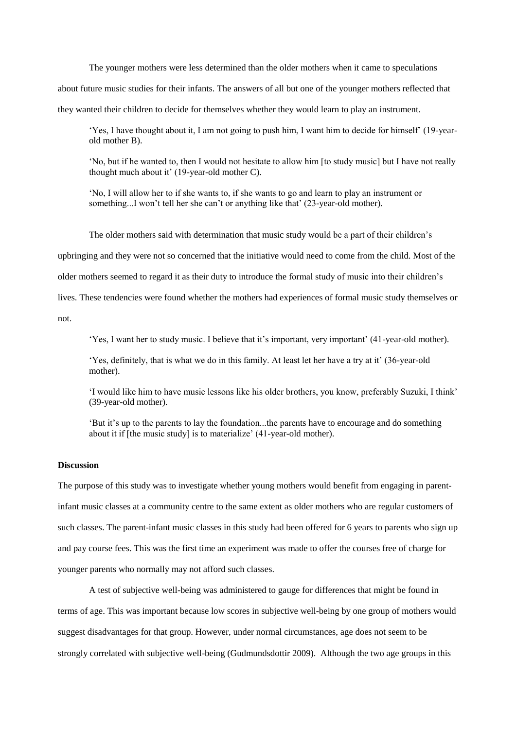The younger mothers were less determined than the older mothers when it came to speculations about future music studies for their infants. The answers of all but one of the younger mothers reflected that they wanted their children to decide for themselves whether they would learn to play an instrument.

"Yes, I have thought about it, I am not going to push him, I want him to decide for himself" (19-yearold mother B).

"No, but if he wanted to, then I would not hesitate to allow him [to study music] but I have not really thought much about it' (19-year-old mother C).

"No, I will allow her to if she wants to, if she wants to go and learn to play an instrument or something...I won't tell her she can't or anything like that' (23-year-old mother).

The older mothers said with determination that music study would be a part of their children"s

upbringing and they were not so concerned that the initiative would need to come from the child. Most of the

older mothers seemed to regard it as their duty to introduce the formal study of music into their children"s

lives. These tendencies were found whether the mothers had experiences of formal music study themselves or

not.

"Yes, I want her to study music. I believe that it's important, very important' (41-year-old mother).

'Yes, definitely, that is what we do in this family. At least let her have a try at it' (36-year-old mother).

"I would like him to have music lessons like his older brothers, you know, preferably Suzuki, I think" (39-year-old mother).

"But it"s up to the parents to lay the foundation...the parents have to encourage and do something about it if [the music study] is to materialize' (41-year-old mother).

#### **Discussion**

The purpose of this study was to investigate whether young mothers would benefit from engaging in parentinfant music classes at a community centre to the same extent as older mothers who are regular customers of such classes. The parent-infant music classes in this study had been offered for 6 years to parents who sign up and pay course fees. This was the first time an experiment was made to offer the courses free of charge for younger parents who normally may not afford such classes.

A test of subjective well-being was administered to gauge for differences that might be found in terms of age. This was important because low scores in subjective well-being by one group of mothers would suggest disadvantages for that group. However, under normal circumstances, age does not seem to be strongly correlated with subjective well-being (Gudmundsdottir 2009). Although the two age groups in this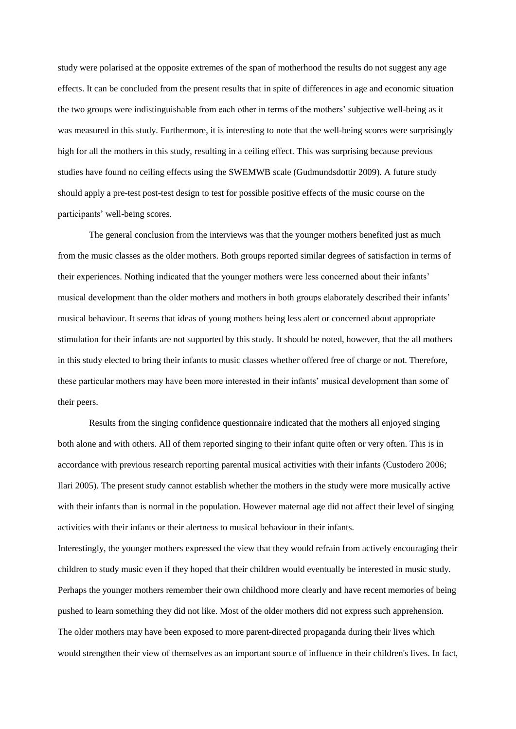study were polarised at the opposite extremes of the span of motherhood the results do not suggest any age effects. It can be concluded from the present results that in spite of differences in age and economic situation the two groups were indistinguishable from each other in terms of the mothers" subjective well-being as it was measured in this study. Furthermore, it is interesting to note that the well-being scores were surprisingly high for all the mothers in this study, resulting in a ceiling effect. This was surprising because previous studies have found no ceiling effects using the SWEMWB scale (Gudmundsdottir 2009). A future study should apply a pre-test post-test design to test for possible positive effects of the music course on the participants' well-being scores.

The general conclusion from the interviews was that the younger mothers benefited just as much from the music classes as the older mothers. Both groups reported similar degrees of satisfaction in terms of their experiences. Nothing indicated that the younger mothers were less concerned about their infants" musical development than the older mothers and mothers in both groups elaborately described their infants' musical behaviour. It seems that ideas of young mothers being less alert or concerned about appropriate stimulation for their infants are not supported by this study. It should be noted, however, that the all mothers in this study elected to bring their infants to music classes whether offered free of charge or not. Therefore, these particular mothers may have been more interested in their infants" musical development than some of their peers.

Results from the singing confidence questionnaire indicated that the mothers all enjoyed singing both alone and with others. All of them reported singing to their infant quite often or very often. This is in accordance with previous research reporting parental musical activities with their infants (Custodero 2006; Ilari 2005). The present study cannot establish whether the mothers in the study were more musically active with their infants than is normal in the population. However maternal age did not affect their level of singing activities with their infants or their alertness to musical behaviour in their infants. Interestingly, the younger mothers expressed the view that they would refrain from actively encouraging their children to study music even if they hoped that their children would eventually be interested in music study.

Perhaps the younger mothers remember their own childhood more clearly and have recent memories of being pushed to learn something they did not like. Most of the older mothers did not express such apprehension. The older mothers may have been exposed to more parent-directed propaganda during their lives which would strengthen their view of themselves as an important source of influence in their children's lives. In fact,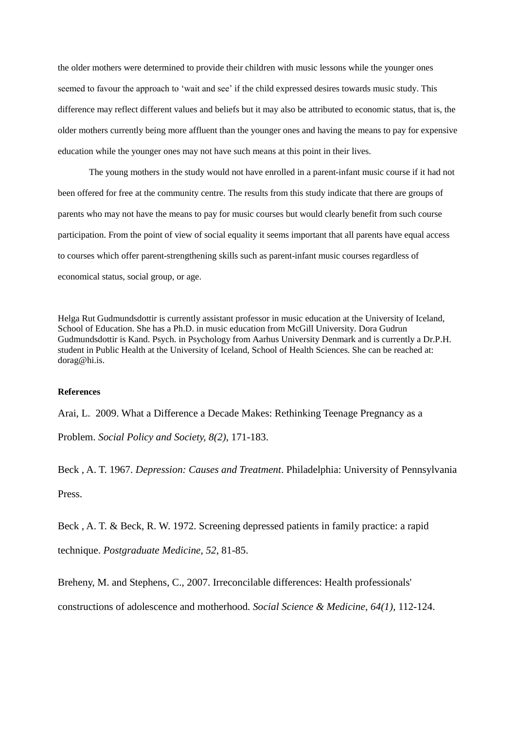the older mothers were determined to provide their children with music lessons while the younger ones seemed to favour the approach to 'wait and see' if the child expressed desires towards music study. This difference may reflect different values and beliefs but it may also be attributed to economic status, that is, the older mothers currently being more affluent than the younger ones and having the means to pay for expensive education while the younger ones may not have such means at this point in their lives.

The young mothers in the study would not have enrolled in a parent-infant music course if it had not been offered for free at the community centre. The results from this study indicate that there are groups of parents who may not have the means to pay for music courses but would clearly benefit from such course participation. From the point of view of social equality it seems important that all parents have equal access to courses which offer parent-strengthening skills such as parent-infant music courses regardless of economical status, social group, or age.

Helga Rut Gudmundsdottir is currently assistant professor in music education at the University of Iceland, School of Education. She has a Ph.D. in music education from McGill University. Dora Gudrun Gudmundsdottir is Kand. Psych. in Psychology from Aarhus University Denmark and is currently a Dr.P.H. student in Public Health at the University of Iceland, School of Health Sciences. She can be reached at: dorag@hi.is.

### **References**

Arai, L. 2009. What a Difference a Decade Makes: Rethinking Teenage Pregnancy as a

Problem. *Social Policy and Society, 8(2)*, 171-183.

Beck , A. T. 1967. *Depression: Causes and Treatment*. Philadelphia: University of Pennsylvania Press.

Beck , A. T. & Beck, R. W. 1972. Screening depressed patients in family practice: a rapid technique. *Postgraduate Medicine, 52*, 81-85.

Breheny, M. and Stephens, C., 2007. Irreconcilable differences: Health professionals' constructions of adolescence and motherhood. *Social Science & Medicine, 64(1)*, 112-124.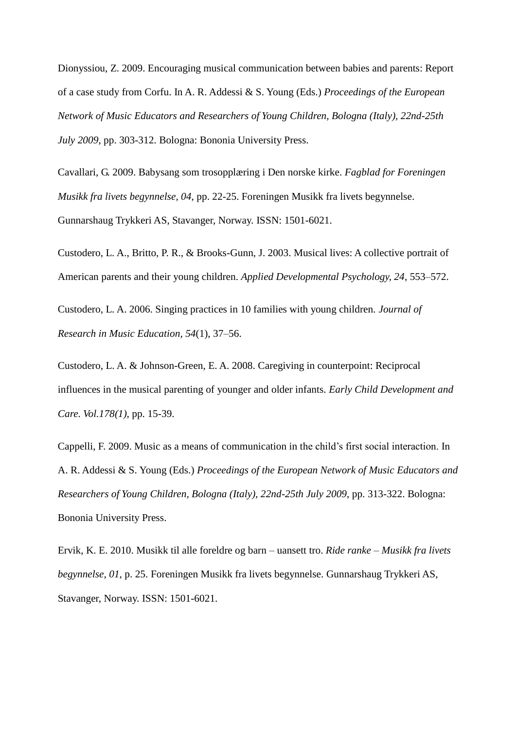Dionyssiou, Z. 2009. Encouraging musical communication between babies and parents: Report of a case study from Corfu. In A. R. Addessi & S. Young (Eds.) *Proceedings of the European Network of Music Educators and Researchers of Young Children, Bologna (Italy), 22nd-25th July 2009*, pp. 303-312. Bologna: Bononia University Press.

Cavallari, G. 2009. Babysang som trosopplæring i Den norske kirke. *Fagblad for Foreningen Musikk fra livets begynnelse, 04*, pp. 22-25. Foreningen Musikk fra livets begynnelse. Gunnarshaug Trykkeri AS, Stavanger, Norway. ISSN: 1501-6021.

Custodero, L. A., Britto, P. R., & Brooks-Gunn, J. 2003. Musical lives: A collective portrait of American parents and their young children. *Applied Developmental Psychology, 24*, 553–572.

Custodero, L. A. 2006. Singing practices in 10 families with young children. *Journal of Research in Music Education*, *54*(1), 37–56.

Custodero, L. A. & Johnson-Green, E. A. 2008. Caregiving in counterpoint: Reciprocal influences in the musical parenting of younger and older infants. *Early Child Development and Care. Vol.178(1)*, pp. 15-39.

Cappelli, F. 2009. Music as a means of communication in the child"s first social interaction. In A. R. Addessi & S. Young (Eds.) *Proceedings of the European Network of Music Educators and Researchers of Young Children, Bologna (Italy), 22nd-25th July 2009*, pp. 313-322. Bologna: Bononia University Press.

Ervik, K. E. 2010. Musikk til alle foreldre og barn – uansett tro. *Ride ranke – Musikk fra livets begynnelse, 01,* p. 25. Foreningen Musikk fra livets begynnelse. Gunnarshaug Trykkeri AS, Stavanger, Norway. ISSN: 1501-6021.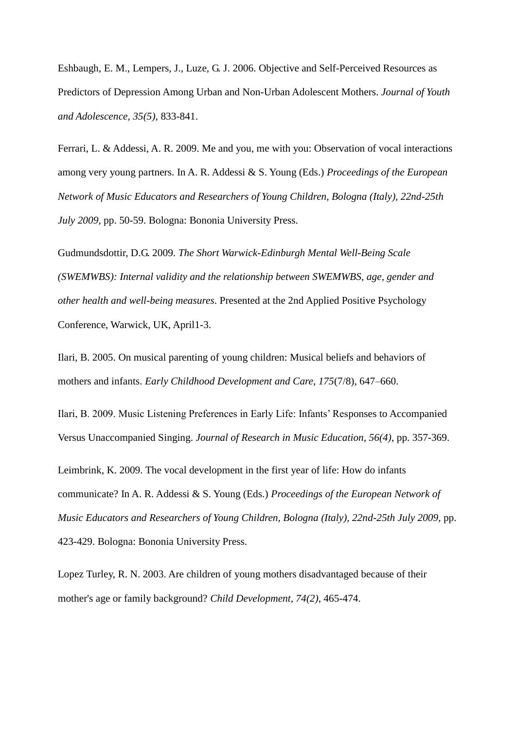Eshbaugh, E. M., Lempers, J., Luze, G. J. 2006. Objective and Self-Perceived Resources as Predictors of Depression Among Urban and Non-Urban Adolescent Mothers. *Journal of Youth and Adolescence, 35(5)*, 833-841.

Ferrari, L. & Addessi, A. R. 2009. Me and you, me with you: Observation of vocal interactions among very young partners. In A. R. Addessi & S. Young (Eds.) *Proceedings of the European Network of Music Educators and Researchers of Young Children, Bologna (Italy), 22nd-25th July 2009*, pp. 50-59. Bologna: Bononia University Press.

Gudmundsdottir, D.G. 2009. *The Short Warwick-Edinburgh Mental Well-Being Scale (SWEMWBS): Internal validity and the relationship between SWEMWBS, age, gender and other health and well-being measures*. Presented at the 2nd Applied Positive Psychology Conference, Warwick, UK, April1-3.

Ilari, B. 2005. On musical parenting of young children: Musical beliefs and behaviors of mothers and infants. *Early Childhood Development and Care, 175*(7/8), 647–660.

Ilari, B. 2009. Music Listening Preferences in Early Life: Infants" Responses to Accompanied Versus Unaccompanied Singing. *Journal of Research in Music Education, 56(4)*, pp. 357-369.

Leimbrink, K. 2009. The vocal development in the first year of life: How do infants communicate? In A. R. Addessi & S. Young (Eds.) *Proceedings of the European Network of Music Educators and Researchers of Young Children, Bologna (Italy), 22nd-25th July 2009*, pp. 423-429. Bologna: Bononia University Press.

Lopez Turley, R. N. 2003. Are children of young mothers disadvantaged because of their mother's age or family background? *Child Development, 74(2)*, 465-474.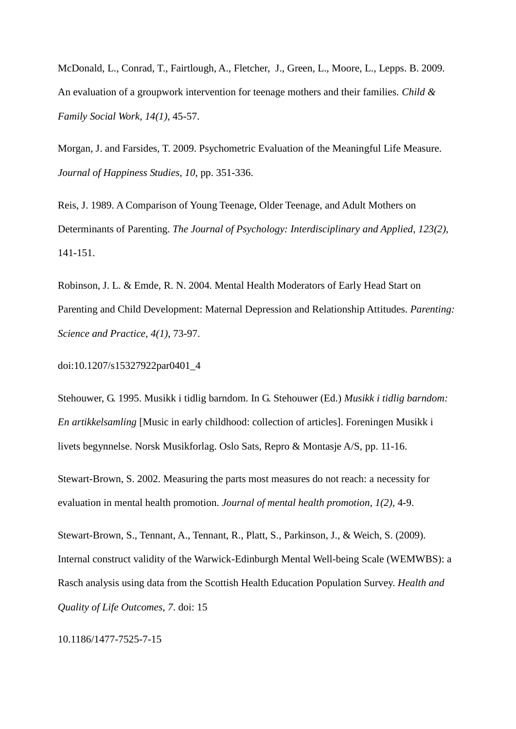McDonald, L., Conrad, T., Fairtlough, A., Fletcher, J., Green, L., Moore, L., Lepps. B. 2009. An evaluation of a groupwork intervention for teenage mothers and their families. *Child & Family Social Work, 14(1)*, 45-57.

Morgan, J. and Farsides, T. 2009. Psychometric Evaluation of the Meaningful Life Measure*. Journal of Happiness Studies, 10*, pp. 351-336.

Reis, J. 1989. A Comparison of Young Teenage, Older Teenage, and Adult Mothers on Determinants of Parenting. *The Journal of Psychology: Interdisciplinary and Applied*, *123(2),* 141-151.

Robinson, J. L. & Emde, R. N. 2004. Mental Health Moderators of Early Head Start on Parenting and Child Development: Maternal Depression and Relationship Attitudes. *Parenting: Science and Practice, 4(1)*, 73-97.

doi:10.1207/s15327922par0401\_4

Stehouwer, G. 1995. Musikk i tidlig barndom. In G. Stehouwer (Ed.) *Musikk i tidlig barndom: En artikkelsamling* [Music in early childhood: collection of articles]. Foreningen Musikk i livets begynnelse. Norsk Musikforlag. Oslo Sats, Repro & Montasje A/S, pp. 11-16.

Stewart-Brown, S. 2002. Measuring the parts most measures do not reach: a necessity for evaluation in mental health promotion. *Journal of mental health promotion, 1(2)*, 4-9.

Stewart-Brown, S., Tennant, A., Tennant, R., Platt, S., Parkinson, J., & Weich, S. (2009). Internal construct validity of the Warwick-Edinburgh Mental Well-being Scale (WEMWBS): a Rasch analysis using data from the Scottish Health Education Population Survey. *Health and Quality of Life Outcomes, 7*. doi: 15

10.1186/1477-7525-7-15